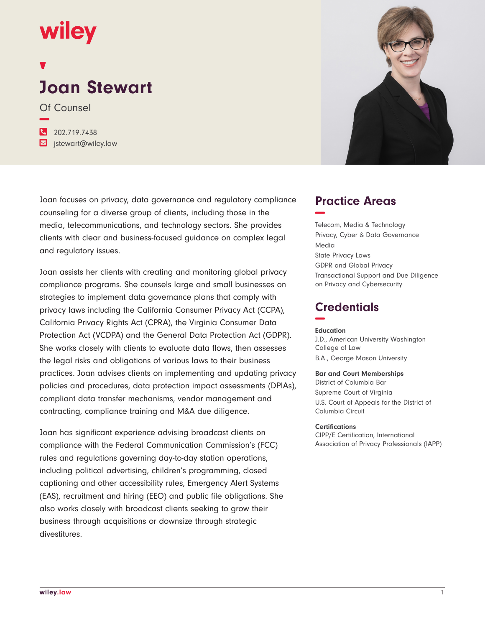## wiley

# **Joan Stewart**

Of Counsel **−**

**�** 202.719.7438

**�** jstewart@wiley.law

Joan focuses on privacy, data governance and regulatory compliance counseling for a diverse group of clients, including those in the media, telecommunications, and technology sectors. She provides clients with clear and business-focused guidance on complex legal and regulatory issues.

Joan assists her clients with creating and monitoring global privacy compliance programs. She counsels large and small businesses on strategies to implement data governance plans that comply with privacy laws including the California Consumer Privacy Act (CCPA), California Privacy Rights Act (CPRA), the Virginia Consumer Data Protection Act (VCDPA) and the General Data Protection Act (GDPR). She works closely with clients to evaluate data flows, then assesses the legal risks and obligations of various laws to their business practices. Joan advises clients on implementing and updating privacy policies and procedures, data protection impact assessments (DPIAs), compliant data transfer mechanisms, vendor management and contracting, compliance training and M&A due diligence.

Joan has significant experience advising broadcast clients on compliance with the Federal Communication Commission's (FCC) rules and regulations governing day-to-day station operations, including political advertising, children's programming, closed captioning and other accessibility rules, Emergency Alert Systems (EAS), recruitment and hiring (EEO) and public file obligations. She also works closely with broadcast clients seeking to grow their business through acquisitions or downsize through strategic divestitures.



## **Practice Areas −**

Telecom, Media & Technology Privacy, Cyber & Data Governance Media State Privacy Laws GDPR and Global Privacy Transactional Support and Due Diligence on Privacy and Cybersecurity

## **Credentials −**

#### **Education**

J.D., American University Washington College of Law B.A., George Mason University

#### **Bar and Court Memberships**

District of Columbia Bar Supreme Court of Virginia U.S. Court of Appeals for the District of Columbia Circuit

#### **Certifications**

CIPP/E Certification, International Association of Privacy Professionals (IAPP)